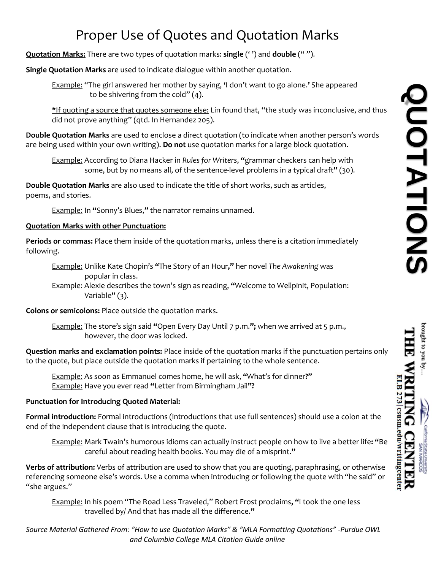# Proper Use of Quotes and Quotation Marks

**Quotation Marks:** There are two types of quotation marks: **single** (' ') and **double** (" ").

**Single Quotation Marks** are used to indicate dialogue within another quotation.

Example: "The girl answered her mother by saying, **'**I don't want to go alone.**'** She appeared to be shivering from the cold" (4).

\*If quoting a source that quotes someone else: Lin found that, "the study was inconclusive, and thus did not prove anything" (qtd. In Hernandez 205).

**Double Quotation Marks** are used to enclose a direct quotation (to indicate when another person's words are being used within your own writing). **Do not** use quotation marks for a large block quotation.

Example: According to Diana Hacker in *Rules for Writers*, **"**grammar checkers can help with some, but by no means all, of the sentence-level problems in a typical draft**"** (30).

**Double Quotation Marks** are also used to indicate the title of short works, such as articles, poems, and stories.

Example: In **"**Sonny's Blues,**"** the narrator remains unnamed.

## **Quotation Marks with other Punctuation:**

**Periods or commas:** Place them inside of the quotation marks, unless there is a citation immediately following.

Example: Unlike Kate Chopin's **"**The Story of an Hour**,"** her novel *The Awakening* was popular in class.

Example: Alexie describes the town's sign as reading, **"**Welcome to Wellpinit, Population: Variable**"** (3).

**Colons or semicolons:** Place outside the quotation marks.

Example: The store's sign said **"**Open Every Day Until 7 p.m.**";** when we arrived at 5 p.m., however, the door was locked.

**Question marks and exclamation points:** Place inside of the quotation marks if the punctuation pertains only to the quote, but place outside the quotation marks if pertaining to the whole sentence.

Example: As soon as Emmanuel comes home, he will ask, **"**What's for dinner**?"** Example: Have you ever read **"**Letter from Birmingham Jail**"?**

## **Punctuation for Introducing Quoted Material:**

**Formal introduction:** Formal introductions (introductions that use full sentences) should use a colon at the end of the independent clause that is introducing the quote.

Example: Mark Twain's humorous idioms can actually instruct people on how to live a better life**: "**Be careful about reading health books. You may die of a misprint.**"**

**Verbs of attribution:** Verbs of attribution are used to show that you are quoting, paraphrasing, or otherwise referencing someone else's words. Use a comma when introducing or following the quote with "he said" or "she argues."

Example: In his poem "The Road Less Traveled," Robert Frost proclaims**, "**I took the one less travelled by/ And that has made all the difference.**"**

*Source Material Gathered From: "How to use Quotation Marks" & "MLA Formatting Quotations" -Purdue OWL and Columbia College MLA Citation Guide online*

prought to you

LB 273 csusm.edu/writingcente